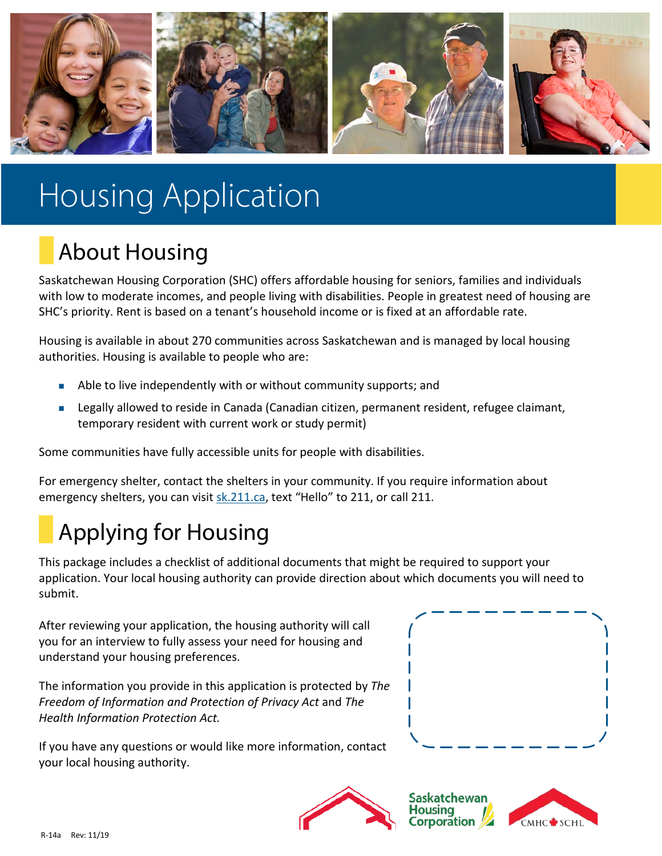

# Housing Application

## About Housing

Saskatchewan Housing Corporation (SHC) offers affordable housing for seniors, families and individuals with low to moderate incomes, and people living with disabilities. People in greatest need of housing are SHC's priority. Rent is based on a tenant's household income or is fixed at an affordable rate.

Housing is available in about 270 communities across Saskatchewan and is managed by local housing authorities. Housing is available to people who are:

- Able to live independently with or without community supports; and
- Legally allowed to reside in Canada (Canadian citizen, permanent resident, refugee claimant, temporary resident with current work or study permit)

Some communities have fully accessible units for people with disabilities.

For emergency shelter, contact the shelters in your community. If you require information about emergency shelters, you can visit [sk.211.ca,](http://www.sk.211.ca/) text "Hello" to 211, or call 211.

## Applying for Housing

This package includes a checklist of additional documents that might be required to support your application. Your local housing authority can provide direction about which documents you will need to submit.

After reviewing your application, the housing authority will call you for an interview to fully assess your need for housing and understand your housing preferences.

The information you provide in this application is protected by *The Freedom of Information and Protection of Privacy Act* and *The Health Information Protection Act.*

If you have any questions or would like more information, contact your local housing authority.





**Saskatchewan** Housina poration

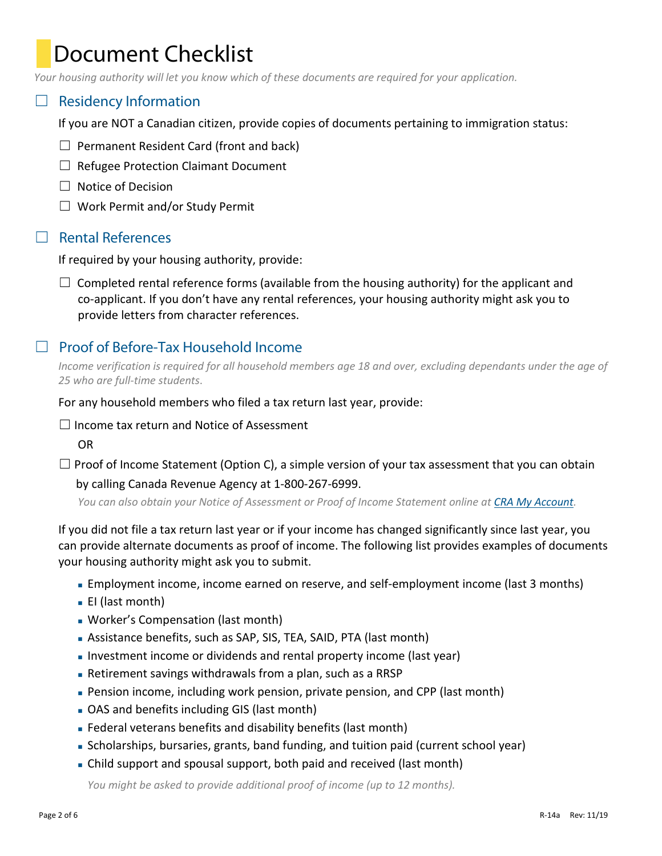### Document Checklist

*Your housing authority will let you know which of these documents are required for your application.*

#### $\Box$  Residency Information

If you are NOT a Canadian citizen, provide copies of documents pertaining to immigration status:

- $\Box$  Permanent Resident Card (front and back)
- ☐ Refugee Protection Claimant Document
- ☐ Notice of Decision
- ☐ Work Permit and/or Study Permit

#### ☐ Rental References

If required by your housing authority, provide:

 $\Box$  Completed rental reference forms (available from the housing authority) for the applicant and co-applicant. If you don't have any rental references, your housing authority might ask you to provide letters from character references.

### ☐ Proof of Before-Tax Household Income

*Income verification is required for all household members age 18 and over, excluding dependants under the age of 25 who are full-time students*.

For any household members who filed a tax return last year, provide:

 $\Box$  Income tax return and Notice of Assessment

OR

 $\Box$  Proof of Income Statement (Option C), a simple version of your tax assessment that you can obtain by calling Canada Revenue Agency at 1-800-267-6999.

*You can also obtain your Notice of Assessment or Proof of Income Statement online at [CRA My Account.](https://www.canada.ca/en/revenue-agency/services/e-services/e-services-individuals/account-individuals.html)*

If you did not file a tax return last year or if your income has changed significantly since last year, you can provide alternate documents as proof of income. The following list provides examples of documents your housing authority might ask you to submit.

- Employment income, income earned on reserve, and self-employment income (last 3 months)
- EI (last month)
- Worker's Compensation (last month)
- Assistance benefits, such as SAP, SIS, TEA, SAID, PTA (last month)
- Investment income or dividends and rental property income (last year)
- Retirement savings withdrawals from a plan, such as a RRSP
- Pension income, including work pension, private pension, and CPP (last month)
- OAS and benefits including GIS (last month)
- Federal veterans benefits and disability benefits (last month)
- Scholarships, bursaries, grants, band funding, and tuition paid (current school year)
- Child support and spousal support, both paid and received (last month)

*You might be asked to provide additional proof of income (up to 12 months).*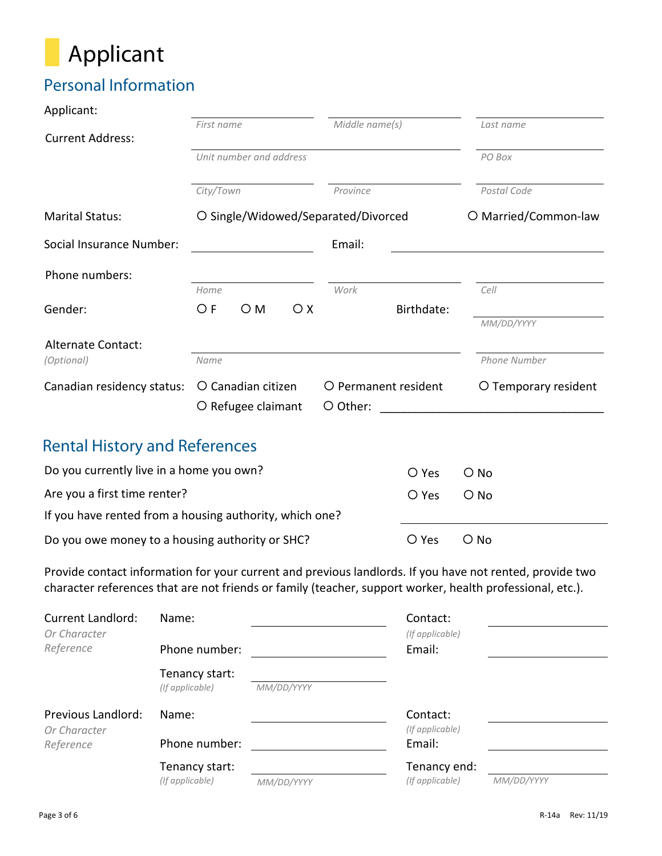

### Personal Information

| Applicant:                                                                                               |                                            |                |            |                      |  |
|----------------------------------------------------------------------------------------------------------|--------------------------------------------|----------------|------------|----------------------|--|
|                                                                                                          | First name                                 | Middle name(s) |            | Last name            |  |
| <b>Current Address:</b>                                                                                  |                                            |                |            |                      |  |
|                                                                                                          | Unit number and address                    | PO Box         |            |                      |  |
|                                                                                                          | City/Town                                  | Province       |            | Postal Code          |  |
| <b>Marital Status:</b>                                                                                   | O Single/Widowed/Separated/Divorced        |                |            |                      |  |
| Social Insurance Number:                                                                                 | Email:                                     |                |            |                      |  |
| Phone numbers:                                                                                           |                                            |                |            |                      |  |
|                                                                                                          | Home                                       | Work           |            | Cell                 |  |
| Gender:                                                                                                  | O F<br>O M<br>$\bigcirc$ X                 |                | Birthdate: |                      |  |
|                                                                                                          |                                            |                |            | MM/DD/YYYY           |  |
| <b>Alternate Contact:</b>                                                                                |                                            |                |            |                      |  |
| (Optional)                                                                                               | Name                                       |                |            | Phone Number         |  |
| Canadian residency status:                                                                               | O Canadian citizen<br>O Permanent resident |                |            | O Temporary resident |  |
|                                                                                                          | O Refugee claimant                         | O Other:       |            |                      |  |
| <b>Rental History and References</b>                                                                     |                                            |                |            |                      |  |
| Do you currently live in a home you own?                                                                 |                                            |                | O Yes      |                      |  |
|                                                                                                          | $O$ No                                     |                |            |                      |  |
| Are you a first time renter?                                                                             | O Yes                                      | $O$ No         |            |                      |  |
| If you have rented from a housing authority, which one?                                                  |                                            |                |            |                      |  |
| Do you owe money to a housing authority or SHC?                                                          | O Yes                                      | $\bigcirc$ No  |            |                      |  |
| Provide contact information for your current and previous landlords. If you have not rented, provide two |                                            |                |            |                      |  |

Provide contact information for your current and previous landlords. If you have not rented, provide two character references that are not friends or family (teacher, support worker, health professional, etc.).

| <b>Current Landlord:</b>           | Name:                             |            | Contact:                    |            |
|------------------------------------|-----------------------------------|------------|-----------------------------|------------|
| Or Character<br>Reference          | Phone number:                     |            | (If applicable)<br>Email:   |            |
|                                    | Tenancy start:<br>(If applicable) | MM/DD/YYYY |                             |            |
| Previous Landlord:<br>Or Character | Name:                             |            | Contact:<br>(If applicable) |            |
| Reference                          | Phone number:                     |            | Email:                      |            |
|                                    | Tenancy start:                    |            | Tenancy end:                |            |
|                                    | (If applicable)                   | MM/DD/YYYY | (If applicable)             | MM/DD/YYYY |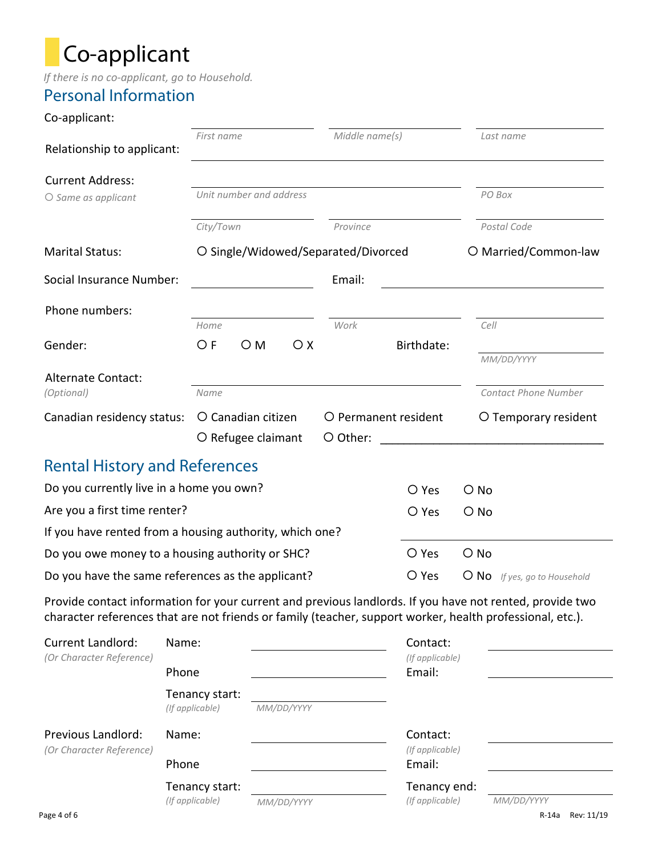## Co-applicant

*If there is no co-applicant, go to Household.*

### Personal Information

#### Co-applicant:

| Relationship to applicant:                                                                               | Middle name(s)<br>First name             |                         |                                  |                                     | Last name            |               |                                    |
|----------------------------------------------------------------------------------------------------------|------------------------------------------|-------------------------|----------------------------------|-------------------------------------|----------------------|---------------|------------------------------------|
| <b>Current Address:</b>                                                                                  |                                          |                         |                                  |                                     |                      |               |                                    |
| $O$ Same as applicant                                                                                    |                                          | Unit number and address |                                  |                                     |                      |               | PO Box                             |
|                                                                                                          | City/Town                                |                         |                                  | Province                            |                      |               | Postal Code                        |
| <b>Marital Status:</b>                                                                                   |                                          |                         |                                  | O Single/Widowed/Separated/Divorced |                      |               | O Married/Common-law               |
| Social Insurance Number:<br>Email:                                                                       |                                          |                         |                                  |                                     |                      |               |                                    |
| Phone numbers:                                                                                           |                                          |                         |                                  |                                     |                      |               |                                    |
|                                                                                                          | Home                                     |                         |                                  | Work                                |                      | Cell          |                                    |
| Gender:                                                                                                  | O F                                      | $\bigcirc$ M            | O X                              |                                     | Birthdate:           |               |                                    |
| <b>Alternate Contact:</b><br>(Optional)                                                                  | Name                                     |                         |                                  |                                     |                      |               | MM/DD/YYYY<br>Contact Phone Number |
| Canadian residency status:                                                                               | O Canadian citizen<br>O Refugee claimant |                         | O Permanent resident<br>O Other: |                                     | O Temporary resident |               |                                    |
| <b>Rental History and References</b>                                                                     |                                          |                         |                                  |                                     |                      |               |                                    |
| Do you currently live in a home you own?<br>O Yes                                                        |                                          |                         |                                  |                                     |                      | $\bigcirc$ No |                                    |
| Are you a first time renter?<br>O Yes                                                                    |                                          |                         |                                  |                                     |                      | $\bigcirc$ No |                                    |
| If you have rented from a housing authority, which one?                                                  |                                          |                         |                                  |                                     |                      |               |                                    |
| Do you owe money to a housing authority or SHC?<br>O Yes                                                 |                                          |                         |                                  |                                     |                      | $O$ No        |                                    |
| Do you have the same references as the applicant?<br>O Yes                                               |                                          |                         |                                  |                                     |                      | $\bigcirc$ No | If yes, go to Household            |
| Provide contact information for your current and previous landlords. If you have not rented, provide two |                                          |                         |                                  |                                     |                      |               |                                    |

character references that are not friends or family (teacher, support worker, health professional, etc.).

| <b>Current Landlord:</b>                                 | Name:                             |            | Contact:                    |            |            |
|----------------------------------------------------------|-----------------------------------|------------|-----------------------------|------------|------------|
| (Or Character Reference)                                 | Phone                             |            | (If applicable)<br>Email:   |            |            |
|                                                          | Tenancy start:<br>(If applicable) | MM/DD/YYYY |                             |            |            |
| Previous Landlord:<br>(Or Character Reference)           | Name:                             |            | Contact:<br>(If applicable) |            |            |
| Phone<br>Tenancy start:<br>(If applicable)<br>MM/DD/YYYY |                                   | Email:     |                             |            |            |
|                                                          |                                   |            | Tenancy end:                |            |            |
|                                                          |                                   |            | (If applicable)             | MM/DD/YYYY |            |
| Page 4 of 6                                              |                                   |            |                             | R-14a      | Rev: 11/19 |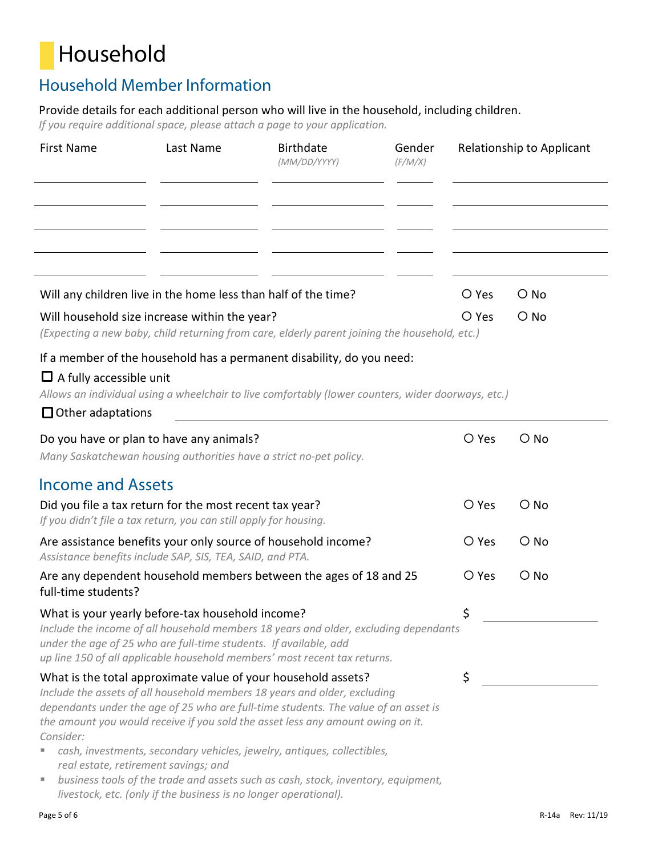## Household

### Household Member Information

Provide details for each additional person who will live in the household, including children.

*If you require additional space, please attach a page to your application.*

| <b>First Name</b>                                          | Last Name                                                                                                                         | <b>Birthdate</b><br>(MM/DD/YYYY)                                                                                                                                                                                                                                                                                                                                                                                    | Gender<br>(F/M/X) |       | Relationship to Applicant |
|------------------------------------------------------------|-----------------------------------------------------------------------------------------------------------------------------------|---------------------------------------------------------------------------------------------------------------------------------------------------------------------------------------------------------------------------------------------------------------------------------------------------------------------------------------------------------------------------------------------------------------------|-------------------|-------|---------------------------|
|                                                            |                                                                                                                                   |                                                                                                                                                                                                                                                                                                                                                                                                                     |                   |       |                           |
|                                                            | Will any children live in the home less than half of the time?                                                                    |                                                                                                                                                                                                                                                                                                                                                                                                                     |                   | O Yes | $\bigcirc$ No             |
|                                                            | Will household size increase within the year?                                                                                     | (Expecting a new baby, child returning from care, elderly parent joining the household, etc.)                                                                                                                                                                                                                                                                                                                       |                   | O Yes | $\bigcirc$ No             |
| $\Box$ A fully accessible unit<br>$\Box$ Other adaptations |                                                                                                                                   | If a member of the household has a permanent disability, do you need:<br>Allows an individual using a wheelchair to live comfortably (lower counters, wider doorways, etc.)                                                                                                                                                                                                                                         |                   |       |                           |
|                                                            | Do you have or plan to have any animals?<br>Many Saskatchewan housing authorities have a strict no-pet policy.                    |                                                                                                                                                                                                                                                                                                                                                                                                                     |                   | O Yes | $\bigcirc$ No             |
| <b>Income and Assets</b>                                   |                                                                                                                                   |                                                                                                                                                                                                                                                                                                                                                                                                                     |                   |       |                           |
|                                                            | Did you file a tax return for the most recent tax year?<br>If you didn't file a tax return, you can still apply for housing.      |                                                                                                                                                                                                                                                                                                                                                                                                                     |                   | O Yes | $O$ No                    |
|                                                            | Assistance benefits include SAP, SIS, TEA, SAID, and PTA.                                                                         | Are assistance benefits your only source of household income?                                                                                                                                                                                                                                                                                                                                                       |                   | O Yes | $\bigcirc$ No             |
| full-time students?                                        |                                                                                                                                   | Are any dependent household members between the ages of 18 and 25                                                                                                                                                                                                                                                                                                                                                   |                   | O Yes | $\bigcirc$ No             |
|                                                            | What is your yearly before-tax household income?<br>under the age of 25 who are full-time students. If available, add             | Include the income of all household members 18 years and older, excluding dependants<br>up line 150 of all applicable household members' most recent tax returns.                                                                                                                                                                                                                                                   |                   | \$    |                           |
| Consider:<br>real estate, retirement savings; and          | What is the total approximate value of your household assets?<br>livestock, etc. (only if the business is no longer operational). | Include the assets of all household members 18 years and older, excluding<br>dependants under the age of 25 who are full-time students. The value of an asset is<br>the amount you would receive if you sold the asset less any amount owing on it.<br>cash, investments, secondary vehicles, jewelry, antiques, collectibles,<br>business tools of the trade and assets such as cash, stock, inventory, equipment, |                   | \$    |                           |